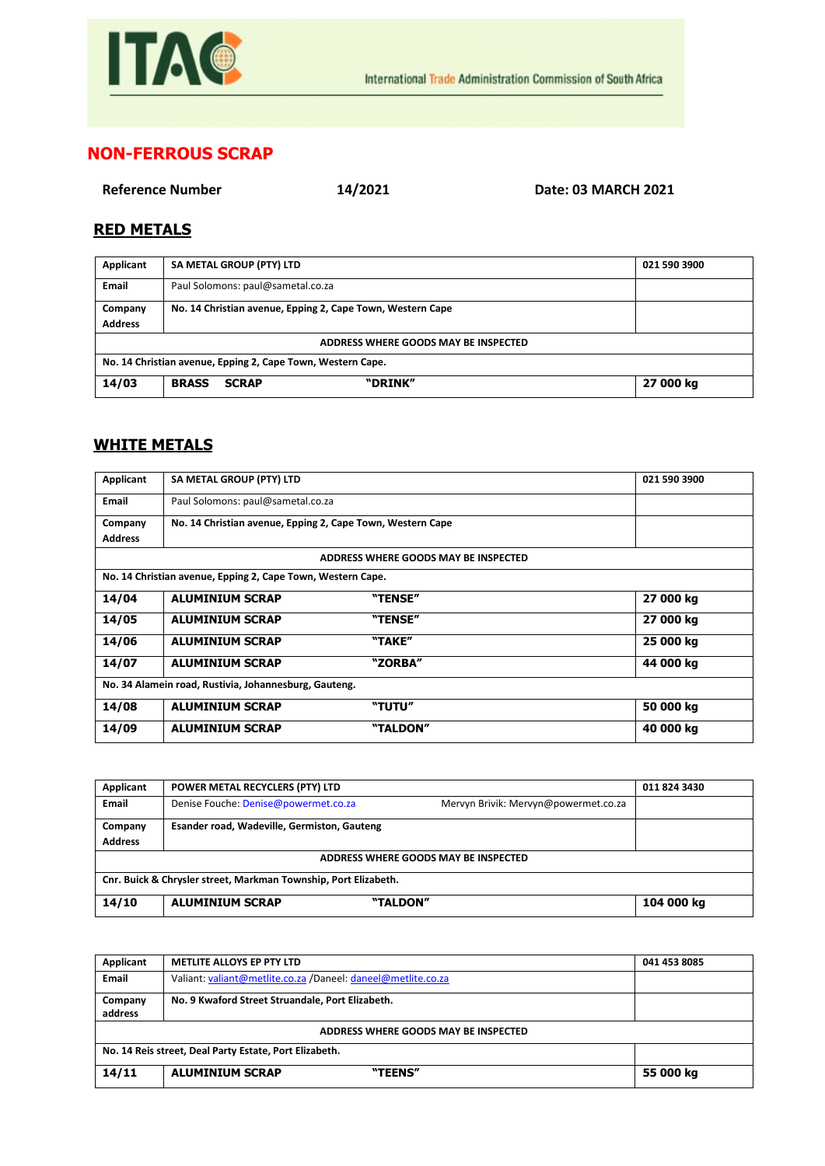

## **NON-FERROUS SCRAP**

**Reference Number 14/2021 Date: 03 MARCH 2021**

## **RED METALS**

| Applicant                                                   | SA METAL GROUP (PTY) LTD                                   | 021 590 3900 |  |  |  |  |
|-------------------------------------------------------------|------------------------------------------------------------|--------------|--|--|--|--|
| Email                                                       | Paul Solomons: paul@sametal.co.za                          |              |  |  |  |  |
| Company                                                     | No. 14 Christian avenue, Epping 2, Cape Town, Western Cape |              |  |  |  |  |
| <b>Address</b>                                              |                                                            |              |  |  |  |  |
| ADDRESS WHERE GOODS MAY BE INSPECTED                        |                                                            |              |  |  |  |  |
| No. 14 Christian avenue, Epping 2, Cape Town, Western Cape. |                                                            |              |  |  |  |  |
| 14/03                                                       | "DRINK"<br><b>BRASS</b><br><b>SCRAP</b>                    | 27 000 kg    |  |  |  |  |

## **WHITE METALS**

| Applicant                                                   | SA METAL GROUP (PTY) LTD                                   |                                      | 021 590 3900 |  |
|-------------------------------------------------------------|------------------------------------------------------------|--------------------------------------|--------------|--|
| Email                                                       | Paul Solomons: paul@sametal.co.za                          |                                      |              |  |
| Company                                                     | No. 14 Christian avenue, Epping 2, Cape Town, Western Cape |                                      |              |  |
| <b>Address</b>                                              |                                                            |                                      |              |  |
|                                                             |                                                            | ADDRESS WHERE GOODS MAY BE INSPECTED |              |  |
| No. 14 Christian avenue, Epping 2, Cape Town, Western Cape. |                                                            |                                      |              |  |
| 14/04                                                       | <b>ALUMINIUM SCRAP</b>                                     | "TENSE"                              | 27 000 kg    |  |
| 14/05                                                       | <b>ALUMINIUM SCRAP</b>                                     | "TENSE"                              | 27 000 kg    |  |
| 14/06                                                       | <b>ALUMINIUM SCRAP</b>                                     | "TAKE"                               | 25 000 kg    |  |
| 14/07                                                       | <b>ALUMINIUM SCRAP</b>                                     | "ZORBA"                              | 44 000 kg    |  |
| No. 34 Alamein road, Rustivia, Johannesburg, Gauteng.       |                                                            |                                      |              |  |
| 14/08                                                       | <b>ALUMINIUM SCRAP</b>                                     | "TUTU"                               | 50 000 kg    |  |
| 14/09                                                       | <b>ALUMINIUM SCRAP</b>                                     | "TALDON"                             | 40 000 kg    |  |

| Applicant                                                       | POWER METAL RECYCLERS (PTY) LTD             |                                      | 011 824 3430 |  |
|-----------------------------------------------------------------|---------------------------------------------|--------------------------------------|--------------|--|
| <b>Email</b>                                                    | Denise Fouche: Denise@powermet.co.za        | Mervyn Brivik: Mervyn@powermet.co.za |              |  |
| Company                                                         | Esander road, Wadeville, Germiston, Gauteng |                                      |              |  |
| <b>Address</b>                                                  |                                             |                                      |              |  |
| ADDRESS WHERE GOODS MAY BE INSPECTED                            |                                             |                                      |              |  |
| Cnr. Buick & Chrysler street, Markman Township, Port Elizabeth. |                                             |                                      |              |  |
| 14/10                                                           | <b>ALUMINIUM SCRAP</b>                      | "TALDON"                             | 104 000 kg   |  |

| Applicant                                              | <b>METLITE ALLOYS EP PTY LTD</b>                             | 041 453 8085 |
|--------------------------------------------------------|--------------------------------------------------------------|--------------|
| Email                                                  | Valiant: valiant@metlite.co.za /Daneel: daneel@metlite.co.za |              |
| Company<br>address                                     | No. 9 Kwaford Street Struandale, Port Elizabeth.             |              |
| ADDRESS WHERE GOODS MAY BE INSPECTED                   |                                                              |              |
| No. 14 Reis street, Deal Party Estate, Port Elizabeth. |                                                              |              |
| 14/11                                                  | "TEENS"<br><b>ALUMINIUM SCRAP</b>                            | 55 000 kg    |